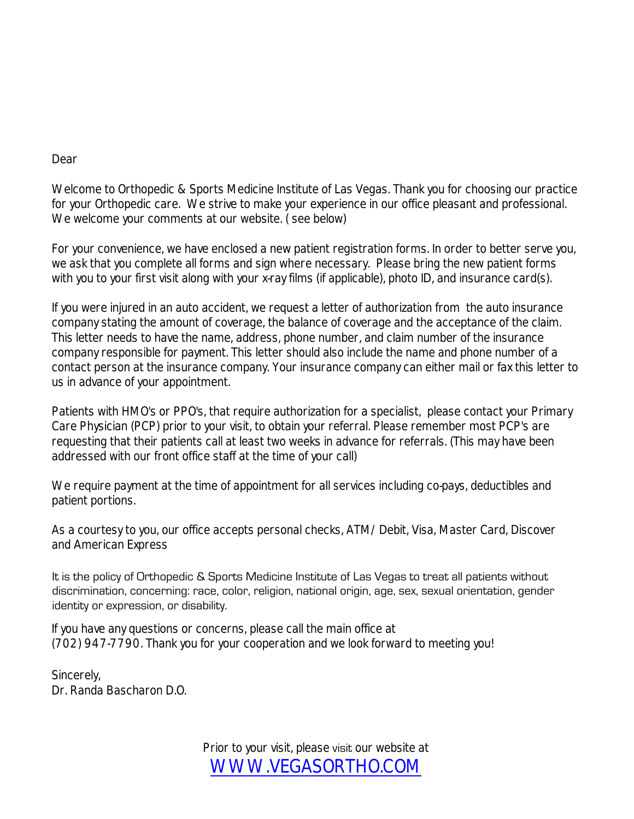### Dear

Welcome to Orthopedic & Sports Medicine Institute of Las Vegas. Thank you for choosing our practice for your Orthopedic care. We strive to make your experience in our office pleasant and professional. We welcome your comments at our website. ( see below)

For your convenience, we have enclosed a new patient registration forms. In order to better serve you, we ask that you complete all forms and sign where necessary. Please bring the new patient forms with you to your first visit along with your x-ray films (if applicable), photo ID, and insurance card(s).

If you were injured in an auto accident, we request a letter of authorization from the auto insurance company stating the amount of coverage, the balance of coverage and the acceptance of the claim. This letter needs to have the name, address, phone number, and claim number of the insurance company responsible for payment. This letter should also include the name and phone number of a contact person at the insurance company. Your insurance company can either mail or fax this letter to us in advance of your appointment.

Patients with HMO's or PPO's, that require authorization for a specialist, please contact your Primary Care Physician (PCP) prior to your visit, to obtain your referral. Please remember most PCP's are requesting that their patients call at least two weeks in advance for referrals. (This may have been addressed with our front office staff at the time of your call)

We require payment at the time of appointment for all services including co-pays, deductibles and patient portions.

As a courtesy to you, our office accepts personal checks, ATM/Debit, Visa, Master Card, Discover and American Express

It is the policy of Orthopedic & Sports Medicine Institute of Las Vegas to treat all patients without discrimination, concerning: race, color, religion, national origin, age, sex, sexual orientation, gender identity or expression, or disability.

If you have any questions or concerns, please call the main office at (702) 947-7790. Thank you for your cooperation and we look forward to meeting you!

Sincerely, Dr. Randa Bascharon D.O.

> Prior to your visit, please visit our website at WWW.VEGASORTHO.COM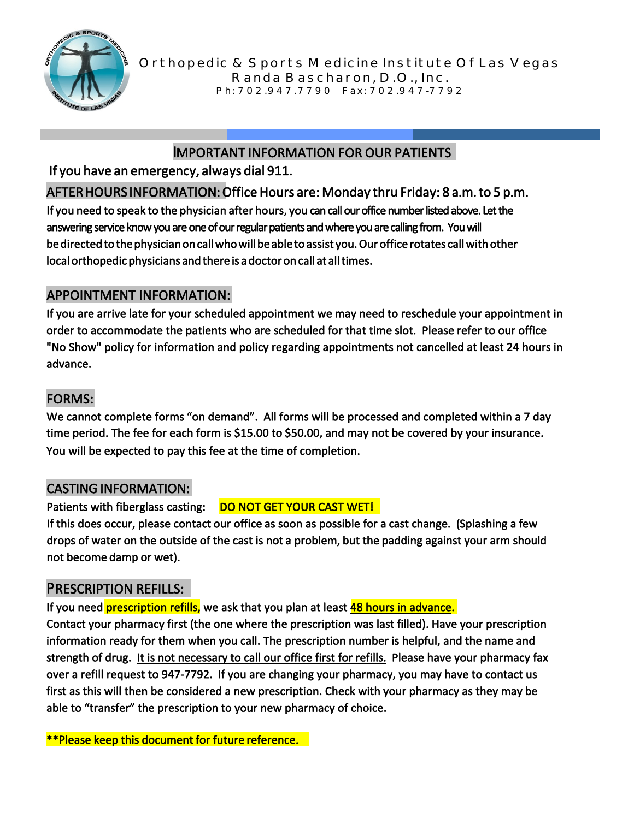

Orthopedic & Sports Medicine Institute Of Las Vegas Randa Bascharon, D.O., Inc. Ph: 702.947.7790 Fax: 702.947-7792

# IMPORTANT INFORMATION FOR OUR PATIENTS

If you have an emergency, always dial 911.

AFTER HOURS INFORMATION: Office Hours are: Monday thru Friday: 8 a.m. to 5 p.m.

If you need to speak to the physician after hours, you can call our office number listed above. Let the answering service know you are one of our regular patients and where you are calling from. You will be directed to the physician on call who will be able to assist you. Our office rotates call with other local orthopedic physicians and there is a doctor on call at all times.

# APPOINTMENT INFORMATION:

If you are arrive late for your scheduled appointment we may need to reschedule your appointment in order to accommodate the patients who are scheduled for that time slot. Please refer to our office "No Show" policy for information and policy regarding appointments not cancelled at least 24 hours in advance.

# FORMS:

We cannot complete forms "on demand". All forms will be processed and completed within a 7 day time period. The fee for each form is \$15.00 to \$50.00, and may not be covered by your insurance. You will be expected to pay this fee at the time of completion.

# CASTING INFORMATION:

Patients with fiberglass casting: DO NOT GET YOUR CAST WET!

If this does occur, please contact our office as soon as possible for a cast change. (Splashing a few drops of water on the outside of the cast is not a problem, but the padding against your arm should not become damp or wet).

# PRESCRIPTION REFILLS:

If you need **prescription refills**, we ask that you plan at least 48 hours in advance.

Contact your pharmacy first (the one where the prescription was last filled). Have your prescription information ready for them when you call. The prescription number is helpful, and the name and strength of drug. It is not necessary to call our office first for refills. Please have your pharmacy fax over a refill request to 947-7792. If you are changing your pharmacy, you may have to contact us first as this will then be considered a new prescription. Check with your pharmacy as they may be able to "transfer" the prescription to your new pharmacy of choice.

\*\*Please keep this document for future reference.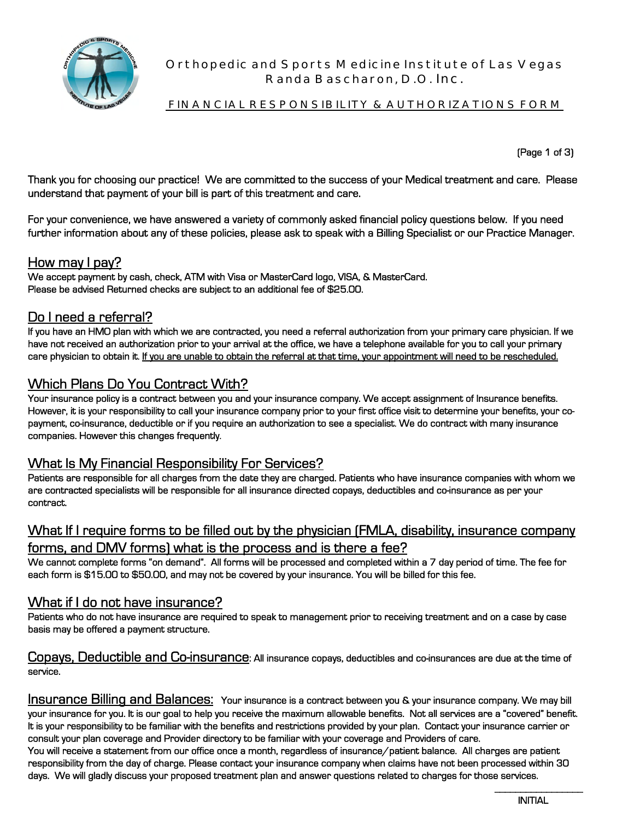

Orthopedic and Sports Medicine Institute of Las Vegas Randa Bascharon, D.O. Inc.

### FINANCIAL RESPONSIBILITY & AUTHORIZATIONS FORM

(Page 1 of 3)

Thank you for choosing our practice! We are committed to the success of your Medical treatment and care. Please understand that payment of your bill is part of this treatment and care.

For your convenience, we have answered a variety of commonly asked financial policy questions below. If you need further information about any of these policies, please ask to speak with a Billing Specialist or our Practice Manager.

How may I pay?<br>We accept payment by cash, check, ATM with Visa or MasterCard logo, VISA, & MasterCard. Please be advised Returned checks are subject to an additional fee of \$25.00.

Do I need a referral?<br>If you have an HMO plan with which we are contracted, you need a referral authorization from your primary care physician. If we have not received an authorization prior to your arrival at the office, we have a telephone available for you to call your primary care physician to obtain it. If you are unable to obtain the referral at that time, your appointment will need to be rescheduled.

Which Plans Do You Contract With?<br>Your insurance policy is a contract between you and your insurance company. We accept assignment of Insurance benefits. However, it is your responsibility to call your insurance company prior to your first office visit to determine your benefits, your copayment, co-insurance, deductible or if you require an authorization to see a specialist. We do contract with many insurance companies. However this changes frequently.

What Is My Financial Responsibility For Services?<br>Patients are responsible for all charges from the date they are charged. Patients who have insurance companies with whom we are contracted specialists will be responsible for all insurance directed copays, deductibles and co-insurance as per your contract.

# What If I require forms to be filled out by the physician (FMLA, disability, insurance company forms, and DMV forms) what is the process and is there a fee?<br>We cannot complete forms "on demand". All forms will be processed and completed within a 7 day period of time. The fee for

each form is \$15.00 to \$50.00, and may not be covered by your insurance. You will be billed for this fee.

 $\underline{\text{What if I do not have insurance?}}$  Patients who do not have insurance? basis may be offered a payment structure.

Copays, Deductible and Co-insurance: All insurance copays, deductibles and co-insurances are due at the time of service.

Insurance Billing and Balances: Your insurance is a contract between you & your insurance company. We may bill your insurance for you. It is our goal to help you receive the maximum allowable benefits. Not all services are a "covered" benefit. It is your responsibility to be familiar with the benefits and restrictions provided by your plan. Contact your insurance carrier or consult your plan coverage and Provider directory to be familiar with your coverage and Providers of care.

You will receive a statement from our office once a month, regardless of insurance/patient balance. All charges are patient responsibility from the day of charge. Please contact your insurance company when claims have not been processed within 30 days. We will gladly discuss your proposed treatment plan and answer questions related to charges for those services.

 $\mathcal{L}_\text{max}$  , and the contract of the contract of the contract of the contract of the contract of the contract of the contract of the contract of the contract of the contract of the contract of the contract of the contr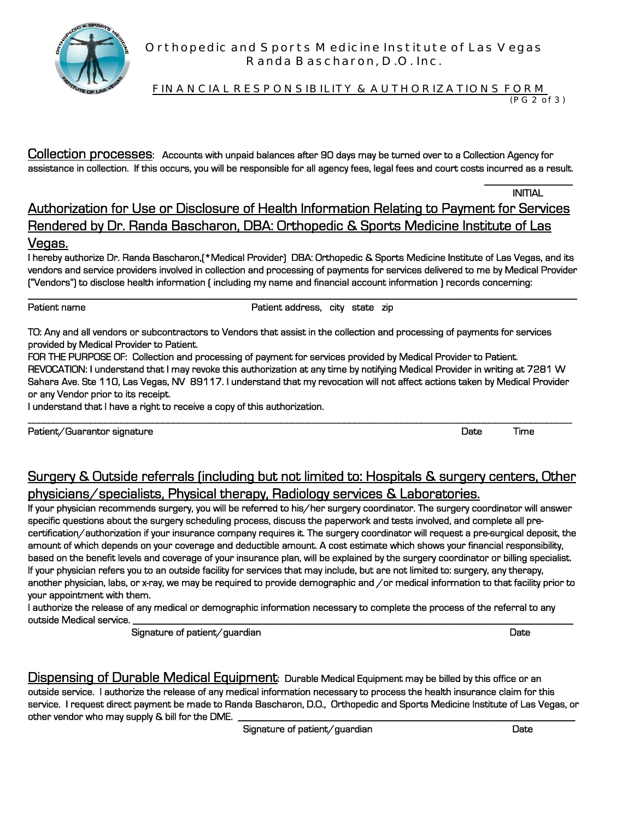

### Orthopedic and Sports Medicine Institute of Las Vegas Randa Bascharon, D.O. Inc.

## FINANCIAL RESPONSIBILITY & AUTHORIZATIONS FORM

(PG 2 of 3)

Collection processes: Accounts with unpaid balances after 90 days may be turned over to a Collection Agency for assistance in collection. If this occurs, you will be responsible for all agency fees, legal fees and court costs incurred as a result.  $\mathcal{L}_\mathcal{L}$  , we can assume that the contract of the contract of the contract of the contract of the contract of the contract of the contract of the contract of the contract of the contract of the contract of the contr

# INITIAL Authorization for Use or Disclosure of Health Information Relating to Payment for Services Rendered by Dr. Randa Bascharon, DBA: Orthopedic & Sports Medicine Institute of Las

Vegas. I hereby authorize Dr. Randa Bascharon,(\*Medical Provider) DBA: Orthopedic & Sports Medicine Institute of Las Vegas, and its vendors and service providers involved in collection and processing of payments for services delivered to me by Medical Provider ("Vendors") to disclose health information ( including my name and financial account information ) records concerning:

\_\_\_\_\_\_\_\_\_\_\_\_\_\_\_\_\_\_\_\_\_\_\_\_\_\_\_\_\_\_\_\_\_\_\_\_\_\_\_\_\_\_\_\_\_\_\_\_\_\_\_\_\_\_\_\_\_\_\_\_\_\_\_\_\_\_\_\_\_\_\_\_\_\_\_\_\_\_\_\_\_\_\_\_\_\_\_\_\_\_\_\_\_\_\_\_\_\_\_\_\_\_\_\_\_\_

Patient name Patient address, city state zip

TO: Any and all vendors or subcontractors to Vendors that assist in the collection and processing of payments for services provided by Medical Provider to Patient.

FOR THE PURPOSE OF: Collection and processing of payment for services provided by Medical Provider to Patient. REVOCATION: I understand that I may revoke this authorization at any time by notifying Medical Provider in writing at 7281 W Sahara Ave. Ste 110, Las Vegas, NV 89117. I understand that my revocation will not affect actions taken by Medical Provider or any Vendor prior to its receipt.

I understand that I have a right to receive a copy of this authorization.

\_\_\_\_\_\_\_\_\_\_\_\_\_\_\_\_\_\_\_\_\_\_\_\_\_\_\_\_\_\_\_\_\_\_\_\_\_\_\_\_\_\_\_\_\_\_\_\_\_\_\_\_\_\_\_\_\_\_\_\_\_\_\_\_\_\_\_\_\_\_\_\_\_\_\_\_\_\_\_\_\_\_\_\_\_\_\_\_\_\_\_\_\_\_\_\_\_\_\_\_\_\_\_\_\_ Patient/Guarantor signature **Date Time** Time of the Control of the Control of the Date Time of the Date Time of the Date Time

# Surgery & Outside referrals (including but not limited to: Hospitals & surgery centers, Other physicians/specialists, Physical therapy, Radiology services & Laboratories.<br>If your physician recommends surgery, you will be referred to his/her surgery coordinator. The surgery coordinator will answer

specific questions about the surgery scheduling process, discuss the paperwork and tests involved, and complete all precertification/authorization if your insurance company requires it. The surgery coordinator will request a pre-surgical deposit, the amount of which depends on your coverage and deductible amount. A cost estimate which shows your financial responsibility, based on the benefit levels and coverage of your insurance plan, will be explained by the surgery coordinator or billing specialist. If your physician refers you to an outside facility for services that may include, but are not limited to: surgery, any therapy, another physician, labs, or x-ray, we may be required to provide demographic and /or medical information to that facility prior to your appointment with them.

I authorize the release of any medical or demographic information necessary to complete the process of the referral to any outside Medical service.

Signature of patient/guardian development of the state of patients of patients of the state of patients of the state of the state of the state of the state of the state of the state of the state of the state of the state o

Dispensing of Durable Medical Equipment: Durable Medical Equipment may be billed by this office or an outside service. I authorize the release of any medical information necessary to process the health insurance claim for this service. I request direct payment be made to Randa Bascharon, D.O., Orthopedic and Sports Medicine Institute of Las Vegas, or other vendor who may supply & bill for the DME.

Signature of patient/guardian discussed by Date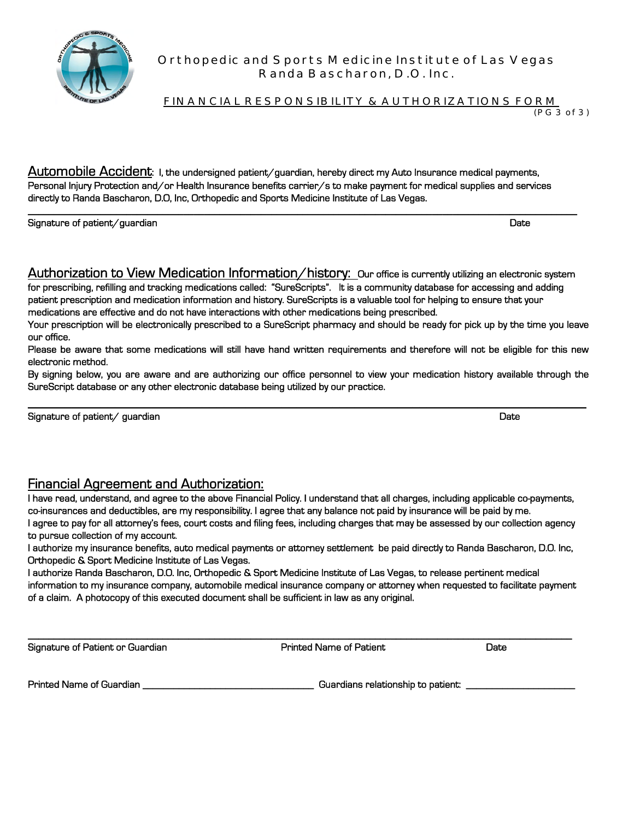

### Orthopedic and Sports Medicine Institute of Las Vegas Randa Bascharon, D.O. Inc.

FINANCIAL RESPONSIBILITY & AUTHORIZATIONS FORM

 $\overline{(PG 3 of 3)}$ 

Automobile Accident: I, the undersigned patient/guardian, hereby direct my Auto Insurance medical payments, Personal Injury Protection and/or Health Insurance benefits carrier/s to make payment for medical supplies and services directly to Randa Bascharon, D.O, Inc, Orthopedic and Sports Medicine Institute of Las Vegas.

Signature of patient/guardian **Date** 

Authorization to View Medication Information/history: Our office is currently utilizing an electronic system for prescribing, refilling and tracking medications called: "SureScripts". It is a community database for accessing and adding patient prescription and medication information and history. SureScripts is a valuable tool for helping to ensure that your medications are effective and do not have interactions with other medications being prescribed.

\_\_\_\_\_\_\_\_\_\_\_\_\_\_\_\_\_\_\_\_\_\_\_\_\_\_\_\_\_\_\_\_\_\_\_\_\_\_\_\_\_\_\_\_\_\_\_\_\_\_\_\_\_\_\_\_\_\_\_\_\_\_\_\_\_\_\_\_\_\_\_\_\_\_\_\_\_\_\_\_\_\_\_\_\_\_\_\_\_\_\_\_\_\_\_\_\_\_\_\_\_\_\_\_\_\_

Your prescription will be electronically prescribed to a SureScript pharmacy and should be ready for pick up by the time you leave our office.

Please be aware that some medications will still have hand written requirements and therefore will not be eligible for this new electronic method.

By signing below, you are aware and are authorizing our office personnel to view your medication history available through the SureScript database or any other electronic database being utilized by our practice.

\_\_\_\_\_\_\_\_\_\_\_\_\_\_\_\_\_\_\_\_\_\_\_\_\_\_\_\_\_\_\_\_\_\_\_\_\_\_\_\_\_\_\_\_\_\_\_\_\_\_\_\_\_\_\_\_\_\_\_\_\_\_\_\_\_\_\_\_\_\_\_\_\_\_\_\_\_ Signature of patient/ guardian Date

Financial Agreement and Authorization:<br>I have read, understand, and agree to the above Financial Policy. I understand that all charges, including applicable co-payments, co-insurances and deductibles, are my responsibility. I agree that any balance not paid by insurance will be paid by me. I agree to pay for all attorney's fees, court costs and filing fees, including charges that may be assessed by our collection agency to pursue collection of my account.

I authorize my insurance benefits, auto medical payments or attorney settlement be paid directly to Randa Bascharon, D.O. Inc, Orthopedic & Sport Medicine Institute of Las Vegas.

I authorize Randa Bascharon, D.O. Inc, Orthopedic & Sport Medicine Institute of Las Vegas, to release pertinent medical information to my insurance company, automobile medical insurance company or attorney when requested to facilitate payment of a claim. A photocopy of this executed document shall be sufficient in law as any original.

\_\_\_\_\_\_\_\_\_\_\_\_\_\_\_\_\_\_\_\_\_\_\_\_\_\_\_\_\_\_\_\_\_\_\_\_\_\_\_\_\_\_\_\_\_\_\_\_\_\_\_\_\_\_\_\_\_\_\_\_\_\_\_\_\_\_\_\_\_\_\_\_\_\_\_\_\_\_\_\_\_\_\_\_\_\_\_\_\_\_\_\_\_\_\_\_\_\_\_\_\_\_\_\_\_

Signature of Patient or Guardian **Printed Name of Patient Construction** Date

Printed Name of Guardian \_\_\_\_\_\_\_\_\_\_\_\_\_\_\_\_\_\_\_\_\_\_\_\_\_\_\_\_\_\_\_\_\_ Guardians relationship to patient: \_\_\_\_\_\_\_\_\_\_\_\_\_\_\_\_\_\_\_\_\_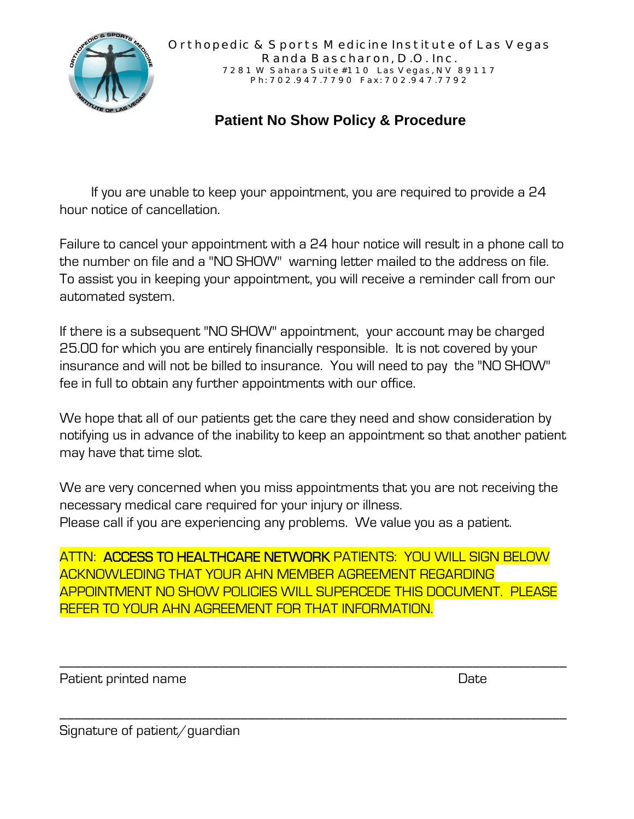

Orthopedic & Sports Medicine Institute of Las Vegas Randa Bascharon, D.O. Inc. 7281 W Sahara Suite #110 Las Vegas, NV 89117 Ph: 702.947.7790 Fax: 702.947.7792

# **Patient No Show Policy & Procedure**

 If you are unable to keep your appointment, you are required to provide a 24 hour notice of cancellation.

Failure to cancel your appointment with a 24 hour notice will result in a phone call to the number on file and a "NO SHOW" warning letter mailed to the address on file. To assist you in keeping your appointment, you will receive a reminder call from our automated system.

If there is a subsequent "NO SHOW" appointment, your account may be charged 25.00 for which you are entirely financially responsible. It is not covered by your insurance and will not be billed to insurance. You will need to pay the "NO SHOW" fee in full to obtain any further appointments with our office.

We hope that all of our patients get the care they need and show consideration by notifying us in advance of the inability to keep an appointment so that another patient may have that time slot.

We are very concerned when you miss appointments that you are not receiving the necessary medical care required for your injury or illness. Please call if you are experiencing any problems. We value you as a patient.

ATTN: ACCESS TO HEALTHCARE NETWORK PATIENTS: YOU WILL SIGN BELOW ACKNOWLEDING THAT YOUR AHN MEMBER AGREEMENT REGARDING APPOINTMENT NO SHOW POLICIES WILL SUPERCEDE THIS DOCUMENT. PLEASE REFER TO YOUR AHN AGREEMENT FOR THAT INFORMATION.

\_\_\_\_\_\_\_\_\_\_\_\_\_\_\_\_\_\_\_\_\_\_\_\_\_\_\_\_\_\_\_\_\_\_\_\_\_\_\_\_\_\_\_\_\_\_\_\_\_\_\_\_\_\_\_\_\_\_\_\_\_\_\_\_\_\_\_\_\_\_

\_\_\_\_\_\_\_\_\_\_\_\_\_\_\_\_\_\_\_\_\_\_\_\_\_\_\_\_\_\_\_\_\_\_\_\_\_\_\_\_\_\_\_\_\_\_\_\_\_\_\_\_\_\_\_\_\_\_\_\_\_\_\_\_\_\_\_\_\_\_

Patient printed name **Date** 

Signature of patient/guardian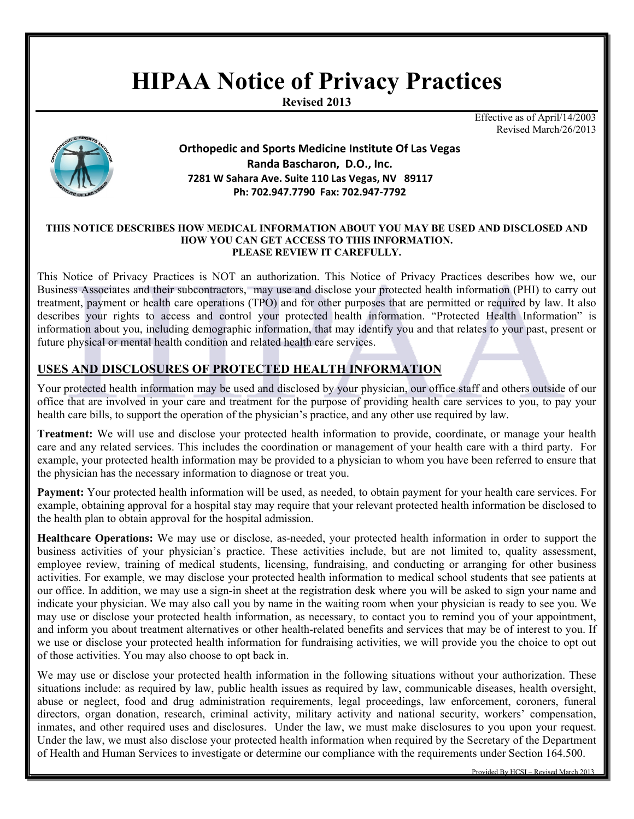# **HIPAA Notice of Privacy Practices**

**Revised 2013** 

Effective as of April/14/2003 Revised March/26/2013



**Orthopedic and Sports Medicine Institute Of Las Vegas Randa Bascharon, D.O., Inc. 7281 W Sahara Ave. Suite 110 Las Vegas, NV 89117 Ph: 702.947.7790 Fax: 702.947-7792**

### **THIS NOTICE DESCRIBES HOW MEDICAL INFORMATION ABOUT YOU MAY BE USED AND DISCLOSED AND HOW YOU CAN GET ACCESS TO THIS INFORMATION. PLEASE REVIEW IT CAREFULLY.**

This Notice of Privacy Practices is NOT an authorization. This Notice of Privacy Practices describes how we, our Business Associates and their subcontractors, may use and disclose your protected health information (PHI) to carry out treatment, payment or health care operations (TPO) and for other purposes that are permitted or required by law. It also describes your rights to access and control your protected health information. "Protected Health Information" is information about you, including demographic information, that may identify you and that relates to your past, present or future physical or mental health condition and related health care services.

## **USES AND DISCLOSURES OF PROTECTED HEALTH INFORMATION**

Your protected health information may be used and disclosed by your physician, our office staff and others outside of our office that are involved in your care and treatment for the purpose of providing health care services to you, to pay your health care bills, to support the operation of the physician's practice, and any other use required by law.

**Treatment:** We will use and disclose your protected health information to provide, coordinate, or manage your health care and any related services. This includes the coordination or management of your health care with a third party. For example, your protected health information may be provided to a physician to whom you have been referred to ensure that the physician has the necessary information to diagnose or treat you.

**Payment:** Your protected health information will be used, as needed, to obtain payment for your health care services. For example, obtaining approval for a hospital stay may require that your relevant protected health information be disclosed to the health plan to obtain approval for the hospital admission.

**Healthcare Operations:** We may use or disclose, as-needed, your protected health information in order to support the business activities of your physician's practice. These activities include, but are not limited to, quality assessment, employee review, training of medical students, licensing, fundraising, and conducting or arranging for other business activities. For example, we may disclose your protected health information to medical school students that see patients at our office. In addition, we may use a sign-in sheet at the registration desk where you will be asked to sign your name and indicate your physician. We may also call you by name in the waiting room when your physician is ready to see you. We may use or disclose your protected health information, as necessary, to contact you to remind you of your appointment, and inform you about treatment alternatives or other health-related benefits and services that may be of interest to you. If we use or disclose your protected health information for fundraising activities, we will provide you the choice to opt out of those activities. You may also choose to opt back in.

We may use or disclose your protected health information in the following situations without your authorization. These situations include: as required by law, public health issues as required by law, communicable diseases, health oversight, abuse or neglect, food and drug administration requirements, legal proceedings, law enforcement, coroners, funeral directors, organ donation, research, criminal activity, military activity and national security, workers' compensation, inmates, and other required uses and disclosures. Under the law, we must make disclosures to you upon your request. Under the law, we must also disclose your protected health information when required by the Secretary of the Department of Health and Human Services to investigate or determine our compliance with the requirements under Section 164.500.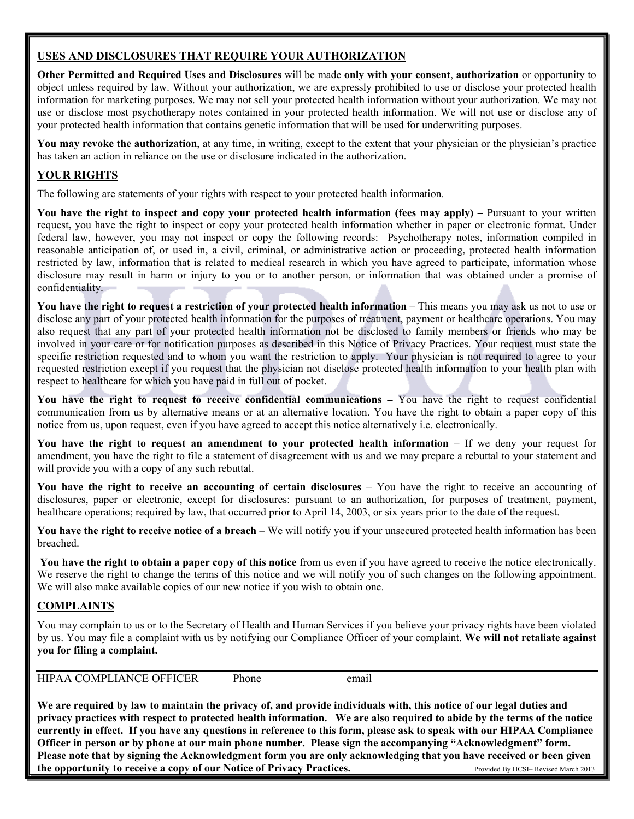### **USES AND DISCLOSURES THAT REQUIRE YOUR AUTHORIZATION**

**Other Permitted and Required Uses and Disclosures** will be made **only with your consent**, **authorization** or opportunity to object unless required by law. Without your authorization, we are expressly prohibited to use or disclose your protected health information for marketing purposes. We may not sell your protected health information without your authorization. We may not use or disclose most psychotherapy notes contained in your protected health information. We will not use or disclose any of your protected health information that contains genetic information that will be used for underwriting purposes.

**You may revoke the authorization**, at any time, in writing, except to the extent that your physician or the physician's practice has taken an action in reliance on the use or disclosure indicated in the authorization.

## **YOUR RIGHTS**

The following are statements of your rights with respect to your protected health information.

You have the right to inspect and copy your protected health information (fees may apply) – Pursuant to your written request**,** you have the right to inspect or copy your protected health information whether in paper or electronic format. Under federal law, however, you may not inspect or copy the following records: Psychotherapy notes, information compiled in reasonable anticipation of, or used in, a civil, criminal, or administrative action or proceeding, protected health information restricted by law, information that is related to medical research in which you have agreed to participate, information whose disclosure may result in harm or injury to you or to another person, or information that was obtained under a promise of confidentiality.

**You have the right to request a restriction of your protected health information –** This means you may ask us not to use or disclose any part of your protected health information for the purposes of treatment, payment or healthcare operations. You may also request that any part of your protected health information not be disclosed to family members or friends who may be involved in your care or for notification purposes as described in this Notice of Privacy Practices. Your request must state the specific restriction requested and to whom you want the restriction to apply. Your physician is not required to agree to your requested restriction except if you request that the physician not disclose protected health information to your health plan with respect to healthcare for which you have paid in full out of pocket.

**You have the right to request to receive confidential communications –** You have the right to request confidential communication from us by alternative means or at an alternative location. You have the right to obtain a paper copy of this notice from us, upon request, even if you have agreed to accept this notice alternatively i.e. electronically.

**You have the right to request an amendment to your protected health information –** If we deny your request for amendment, you have the right to file a statement of disagreement with us and we may prepare a rebuttal to your statement and will provide you with a copy of any such rebuttal.

**You have the right to receive an accounting of certain disclosures –** You have the right to receive an accounting of disclosures, paper or electronic, except for disclosures: pursuant to an authorization, for purposes of treatment, payment, healthcare operations; required by law, that occurred prior to April 14, 2003, or six years prior to the date of the request.

You have the right to receive notice of a breach – We will notify you if your unsecured protected health information has been breached.

**You have the right to obtain a paper copy of this notice** from us even if you have agreed to receive the notice electronically. We reserve the right to change the terms of this notice and we will notify you of such changes on the following appointment. We will also make available copies of our new notice if you wish to obtain one.

## **COMPLAINTS**

You may complain to us or to the Secretary of Health and Human Services if you believe your privacy rights have been violated by us. You may file a complaint with us by notifying our Compliance Officer of your complaint. **We will not retaliate against you for filing a complaint.**

HIPAA COMPLIANCE OFFICER Phone email

**We are required by law to maintain the privacy of, and provide individuals with, this notice of our legal duties and privacy practices with respect to protected health information. We are also required to abide by the terms of the notice currently in effect. If you have any questions in reference to this form, please ask to speak with our HIPAA Compliance Officer in person or by phone at our main phone number. Please sign the accompanying "Acknowledgment" form. Please note that by signing the Acknowledgment form you are only acknowledging that you have received or been given the opportunity to receive a copy of our Notice of Privacy Practices.** Provided By HCSI– Revised March 2013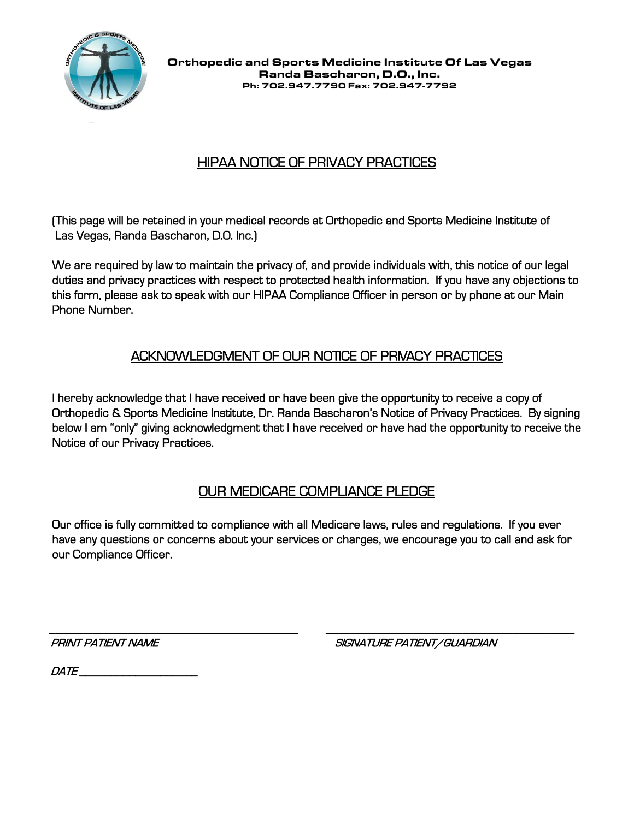

Orthopedic and Sports Medicine Institute Of Las Vegas Randa Bascharon, D.O., Inc. Ph: 702.947.7790 Fax: 702.947-7792

# HIPAA NOTICE OF PRIVACY PRACTICES

(This page will be retained in your medical records at Orthopedic and Sports Medicine Institute of Las Vegas, Randa Bascharon, D.O. Inc.)

We are required by law to maintain the privacy of, and provide individuals with, this notice of our legal duties and privacy practices with respect to protected health information. If you have any objections to this form, please ask to speak with our HIPAA Compliance Officer in person or by phone at our Main Phone Number.

# ACKNOWLEDGMENT OF OUR NOTICE OF PRIVACY PRACTICES

I hereby acknowledge that I have received or have been give the opportunity to receive a copy of Orthopedic & Sports Medicine Institute, Dr. Randa Bascharon's Notice of Privacy Practices. By signing below I am "only" giving acknowledgment that I have received or have had the opportunity to receive the Notice of our Privacy Practices.

# OUR MEDICARE COMPLIANCE PLEDGE

Our office is fully committed to compliance with all Medicare laws, rules and regulations. If you ever have any questions or concerns about your services or charges, we encourage you to call and ask for our Compliance Officer.

 \_\_\_\_\_\_\_\_\_\_\_\_\_\_\_\_\_\_\_\_\_\_\_\_\_\_\_\_\_\_\_\_\_\_\_\_\_\_\_\_ \_\_\_\_\_\_\_\_\_\_\_\_\_\_\_\_\_\_\_\_\_\_\_\_\_\_\_\_\_\_\_\_\_\_\_\_\_\_\_\_ PRINT PATIENT NAME SIGNATURE PATIENT/GUARDIAN

 $\overline{DATE}$   $\overline{DE}$   $\overline{DE}$   $\overline{DE}$   $\overline{DE}$   $\overline{DE}$   $\overline{DE}$   $\overline{DE}$   $\overline{DE}$   $\overline{DE}$   $\overline{DE}$   $\overline{DE}$   $\overline{DE}$   $\overline{DE}$   $\overline{DE}$   $\overline{DE}$   $\overline{DE}$   $\overline{DE}$   $\overline{DE}$   $\overline{DE}$   $\overline{DE}$   $\overline{DE}$   $\overline{DE}$   $\overline{DE}$   $\overline$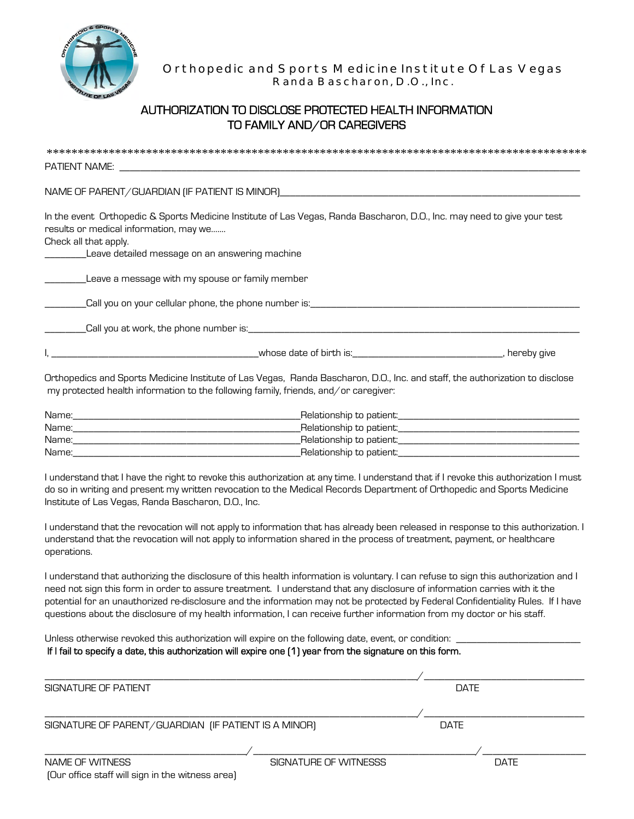

### Orthopedic and Sports Medicine Institute Of Las Vegas Randa Bascharon, D.O., Inc.

### AUTHORIZATION TO DISCLOSE PROTECTED HEALTH INFORMATION TO FAMILY AND/OR CAREGIVERS

| NAME OF PARENT/GUARDIAN (IF PATIENT IS MINOR)___________________________________                                                                                                                                    |
|---------------------------------------------------------------------------------------------------------------------------------------------------------------------------------------------------------------------|
| In the event Orthopedic & Sports Medicine Institute of Las Vegas, Randa Bascharon, D.O., Inc. may need to give your test<br>results or medical information, may we<br>Check all that apply.                         |
| Leave detailed message on an answering machine<br>Leave a message with my spouse or family member                                                                                                                   |
|                                                                                                                                                                                                                     |
|                                                                                                                                                                                                                     |
|                                                                                                                                                                                                                     |
| Orthopedics and Sports Medicine Institute of Las Vegas, Randa Bascharon, D.O., Inc. and staff, the authorization to disclose<br>my protected health information to the following family, friends, and/or caregiver: |

| Name: | _Relationship to patient:_ |
|-------|----------------------------|
| Name: | _Relationship to patient:_ |
| Name: | Relationship to patient:   |
| Name: | _Relationship to patient:_ |

I understand that I have the right to revoke this authorization at any time. I understand that if I revoke this authorization I must do so in writing and present my written revocation to the Medical Records Department of Orthopedic and Sports Medicine Institute of Las Vegas, Randa Bascharon, D.O., Inc.

I understand that the revocation will not apply to information that has already been released in response to this authorization. I understand that the revocation will not apply to information shared in the process of treatment, payment, or healthcare operations.

I understand that authorizing the disclosure of this health information is voluntary. I can refuse to sign this authorization and I need not sign this form in order to assure treatment. I understand that any disclosure of information carries with it the potential for an unauthorized re-disclosure and the information may not be protected by Federal Confidentiality Rules. If I have questions about the disclosure of my health information, I can receive further information from my doctor or his staff.

Unless otherwise revoked this authorization will expire on the following date, event, or condition: If I fail to specify a date, this authorization will expire one (1) year from the signature on this form.

| SIGNATURE OF PATIENT                                                |                       | <b>DATE</b> |  |
|---------------------------------------------------------------------|-----------------------|-------------|--|
|                                                                     |                       |             |  |
| SIGNATURE OF PARENT/GUARDIAN (IF PATIENT IS A MINOR)                |                       | <b>DATE</b> |  |
|                                                                     |                       |             |  |
| NAME OF WITNESS<br>(Our office staff will sign in the witness area) | SIGNATURE OF WITNESSS | <b>DATE</b> |  |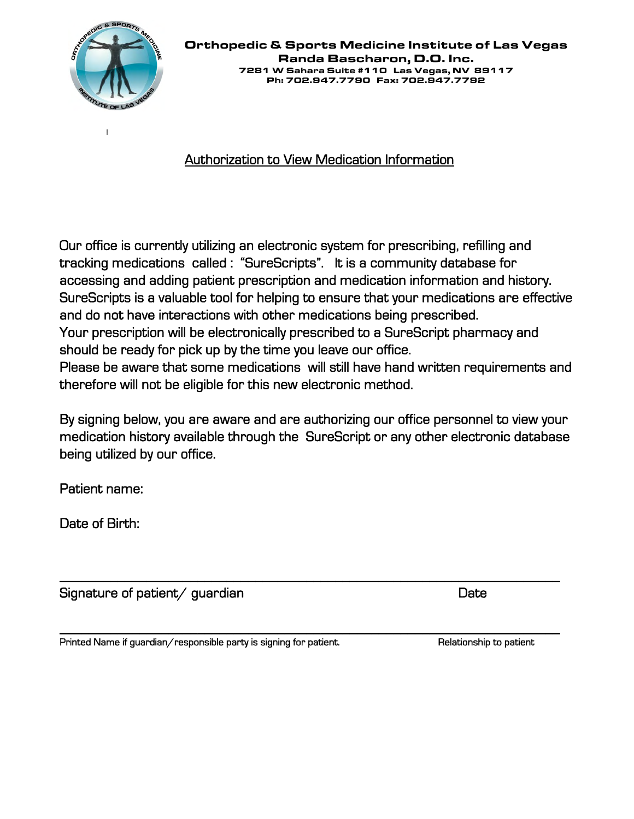

 $\overline{1}$ 

Orthopedic & Sports Medicine Institute of Las Vegas Randa Bascharon, D.O. Inc. 7281 W Sahara Suite #110 Las Vegas, NV 89117 Ph: 702.947.7790 Fax: 702.947.7792

Authorization to View Medication Information

Our office is currently utilizing an electronic system for prescribing, refilling and tracking medications called : "SureScripts". It is a community database for accessing and adding patient prescription and medication information and history. SureScripts is a valuable tool for helping to ensure that your medications are effective and do not have interactions with other medications being prescribed. Your prescription will be electronically prescribed to a SureScript pharmacy and should be ready for pick up by the time you leave our office. Please be aware that some medications will still have hand written requirements and therefore will not be eligible for this new electronic method.

By signing below, you are aware and are authorizing our office personnel to view your medication history available through the SureScript or any other electronic database being utilized by our office.

 $\overline{a}$  , and the contribution of the contribution of the contribution of the contribution of the contribution of the contribution of the contribution of the contribution of the contribution of the contribution of the co

Patient name:

Date of Birth:

Signature of patient/ guardian Date of  $\Box$ 

Printed Name if guardian/responsible party is signing for patient. The manuscriptionship to patient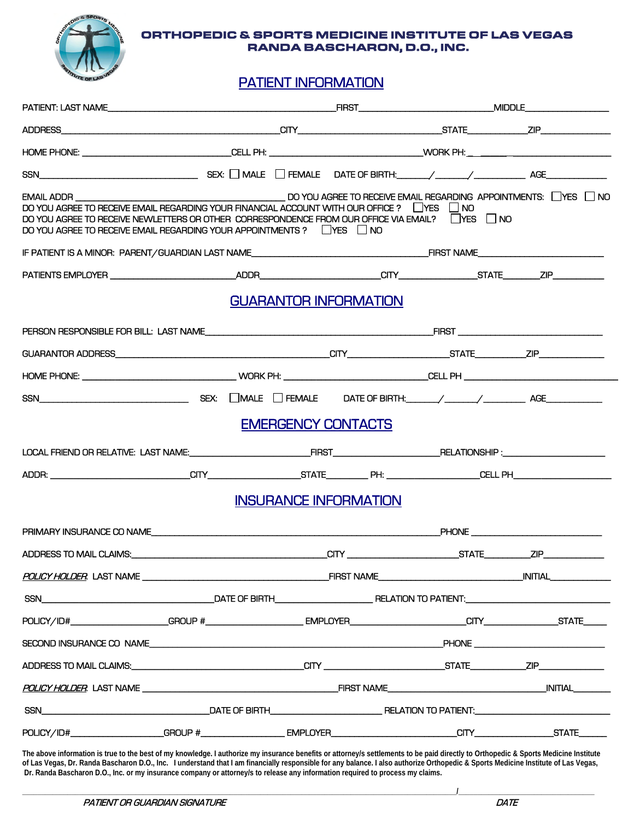

### ORTHOPEDIC & SPORTS MEDICINE INSTITUTE OF LAS VEGAS RANDA BASCHARON, D.O., INC.

# PATIENT INFORMATION

| DO YOU AGREE TO RECEIVE EMAIL REGARDING YOUR FINANCIAL ACCOUNT WITH OUR OFFICE? □ VES □ NO<br>DO YOU AGREE TO RECEIVE NEWLETTERS OR OTHER CORRESPONDENCE FROM OUR OFFICE VIA EMAIL?   YES     NO<br>DO YOU AGREE TO RECEIVE EMAIL REGARDING YOUR APPOINTMENTS ?     YES     NO |                              |  |  |
|--------------------------------------------------------------------------------------------------------------------------------------------------------------------------------------------------------------------------------------------------------------------------------|------------------------------|--|--|
|                                                                                                                                                                                                                                                                                |                              |  |  |
|                                                                                                                                                                                                                                                                                |                              |  |  |
|                                                                                                                                                                                                                                                                                | <b>GUARANTOR INFORMATION</b> |  |  |
|                                                                                                                                                                                                                                                                                |                              |  |  |
|                                                                                                                                                                                                                                                                                |                              |  |  |
|                                                                                                                                                                                                                                                                                |                              |  |  |
|                                                                                                                                                                                                                                                                                |                              |  |  |
|                                                                                                                                                                                                                                                                                | <b>EMERGENCY CONTACTS</b>    |  |  |
|                                                                                                                                                                                                                                                                                |                              |  |  |
|                                                                                                                                                                                                                                                                                |                              |  |  |
|                                                                                                                                                                                                                                                                                | <b>INSURANCE INFORMATION</b> |  |  |
| PRIMARY INSURANCE CO NAME <b>And A SECOND CONSUMING THE CONSUMING OF A SECOND CONSUMING CONSUMING THE CONSUMING OF A SECOND CONSUMING CONSUMING THE CONSUMING OF A SECOND CONSUMING OF A SECOND CONSUMING OF A SECOND CONSUMING </b>                                           |                              |  |  |
| ADDRESS TO MAIL CLAIMS: A RESERVE TO MAIL CLAIMS: A RESERVE TO MAIL CLAIMS: A RESERVE TO MAIL CLAIMS:                                                                                                                                                                          |                              |  |  |
|                                                                                                                                                                                                                                                                                |                              |  |  |
|                                                                                                                                                                                                                                                                                |                              |  |  |
| POLICY/ID#____________________GROUP #____________________EMPLOYER____________________CITY_______________STATE_____                                                                                                                                                             |                              |  |  |
|                                                                                                                                                                                                                                                                                |                              |  |  |
|                                                                                                                                                                                                                                                                                |                              |  |  |
|                                                                                                                                                                                                                                                                                |                              |  |  |
|                                                                                                                                                                                                                                                                                |                              |  |  |
|                                                                                                                                                                                                                                                                                |                              |  |  |

**The above information is true to the best of my knowledge. I authorize my insurance benefits or attorney/s settlements to be paid directly to Orthopedic & Sports Medicine Institute of Las Vegas, Dr. Randa Bascharon D.O., Inc. I understand that I am financially responsible for any balance. I also authorize Orthopedic & Sports Medicine Institute of Las Vegas, Dr. Randa Bascharon D.O., Inc. or my insurance company or attorney/s to release any information required to process my claims.**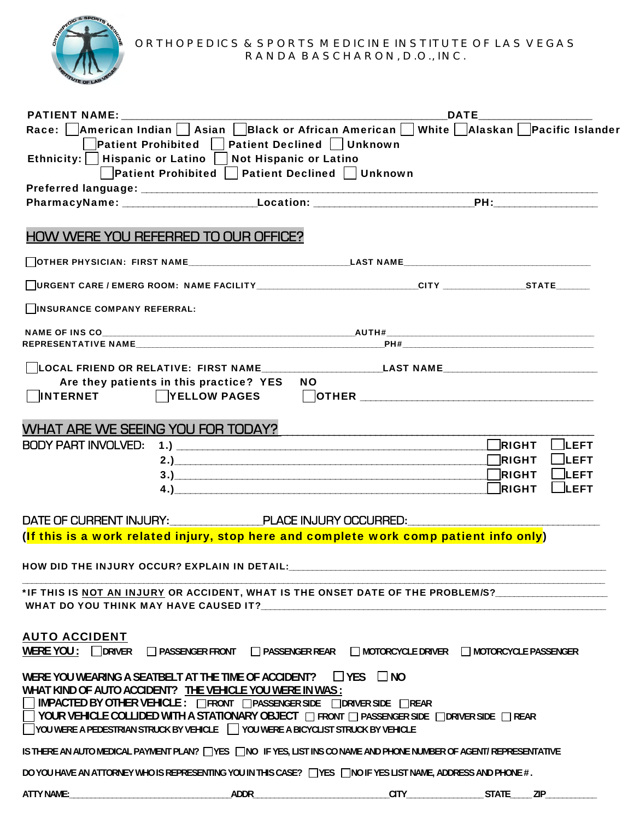

## ORTHOPEDICS & SPORTS MEDICINE INSTITUTE OF LAS VEGAS RANDA BASCHARON, D.O., INC.

| <b>PATIENT NAME:</b> NAME:                                                                                       | DATE_____________________                                                                                                                                                |
|------------------------------------------------------------------------------------------------------------------|--------------------------------------------------------------------------------------------------------------------------------------------------------------------------|
| Race: American Indian   Asian   Black or African American                                                        | White Alaskan Pacific Islander                                                                                                                                           |
| <b>Patient Prohibited   Patient Declined   Unknown</b>                                                           |                                                                                                                                                                          |
| Ethnicity: $\vert$ Hispanic or Latino $\vert$<br>Not Hispanic or Latino                                          |                                                                                                                                                                          |
| ■ Patient Prohibited   Patient Declined   Unknown                                                                |                                                                                                                                                                          |
|                                                                                                                  |                                                                                                                                                                          |
|                                                                                                                  |                                                                                                                                                                          |
| HOW WERE YOU REFERRED TO OUR OFFICE?                                                                             |                                                                                                                                                                          |
|                                                                                                                  |                                                                                                                                                                          |
|                                                                                                                  |                                                                                                                                                                          |
| <b>NINSURANCE COMPANY REFERRAL:</b>                                                                              |                                                                                                                                                                          |
|                                                                                                                  |                                                                                                                                                                          |
|                                                                                                                  |                                                                                                                                                                          |
|                                                                                                                  |                                                                                                                                                                          |
| Are they patients in this practice? YES                                                                          | NO.                                                                                                                                                                      |
| <b>FILLOW PAGES</b><br><b>INTERNET</b>                                                                           | $\Box$ OTHER                                                                                                                                                             |
|                                                                                                                  |                                                                                                                                                                          |
| WHAT ARE WE SEEING YOU FOR TODAY?                                                                                |                                                                                                                                                                          |
| <b>BODY PART INVOLVED:</b>                                                                                       | <b>RIGHT</b><br><b>LEFT</b>                                                                                                                                              |
|                                                                                                                  | <b>RIGHT</b><br><b>ILEFT</b>                                                                                                                                             |
|                                                                                                                  | $\Box$ RIGHT<br><b>NLEFT</b><br>3.)                                                                                                                                      |
| $\left( 4. \right)$                                                                                              | <b>LEFT</b><br><b>RIGHT</b>                                                                                                                                              |
|                                                                                                                  |                                                                                                                                                                          |
|                                                                                                                  |                                                                                                                                                                          |
| (If this is a work related injury, stop here and complete work comp patient info only)                           |                                                                                                                                                                          |
|                                                                                                                  |                                                                                                                                                                          |
| HOW DID THE INJURY OCCUR? EXPLAIN IN DETAIL:                                                                     |                                                                                                                                                                          |
|                                                                                                                  |                                                                                                                                                                          |
|                                                                                                                  | *IF THIS IS NOT AN INJURY OR ACCIDENT, WHAT IS THE ONSET DATE OF THE PROBLEM/S?___________________                                                                       |
|                                                                                                                  |                                                                                                                                                                          |
| <b>AUTO ACCIDENT</b>                                                                                             |                                                                                                                                                                          |
| WERE YOU : $\Box$ Driver                                                                                         | □ PASSENGER FRONT □ PASSENGER REAR □ MOTORCYCLE DRIVER □ MOTORCYCLE PASSENGER                                                                                            |
| WERE YOU WEARING A SEATBELT AT THE TIME OF ACCIDENT? $\Box$ YES $\Box$ NO                                        |                                                                                                                                                                          |
| WHAT KIND OF AUTO ACCIDENT? THE VEHICLE YOU WERE IN WAS:                                                         |                                                                                                                                                                          |
| IMPACTED BY OTHER VEHICLE: □FRONT □PASSENGER SIDE □DRIVER SIDE □REAR                                             |                                                                                                                                                                          |
| YOUR VEHICLE COLLIDED WITH A STATIONARY OBJECT $\Box$ front $\Box$ passenger side $\Box$ driver side $\Box$ rear |                                                                                                                                                                          |
| VOU WERE A PEDESTRIAN STRUCK BY VEHICLE □ YOU WERE A BICYCLIST STRUCK BY VEHICLE                                 |                                                                                                                                                                          |
| IS THERE AN AUTO MEDICAL PAYMENT PLAN? WES NO IF YES, LIST INS CO NAME AND PHONE NUMBER OF AGENT/ REPRESENTATIVE |                                                                                                                                                                          |
| DO YOU HAVE AN ATTORNEY WHO IS REPRESENTING YOU IN THIS CASE? □YES □NO IF YES LIST NAME, ADDRESS AND PHONE #.    |                                                                                                                                                                          |
| ADDR_                                                                                                            | _CITY_________________________STATE______ ZIP__<br><u> 1980 - Johann Barn, mars ar breithinn ar breithinn ar breithinn an dùthchan an dùthchan an dùthchan an dùthch</u> |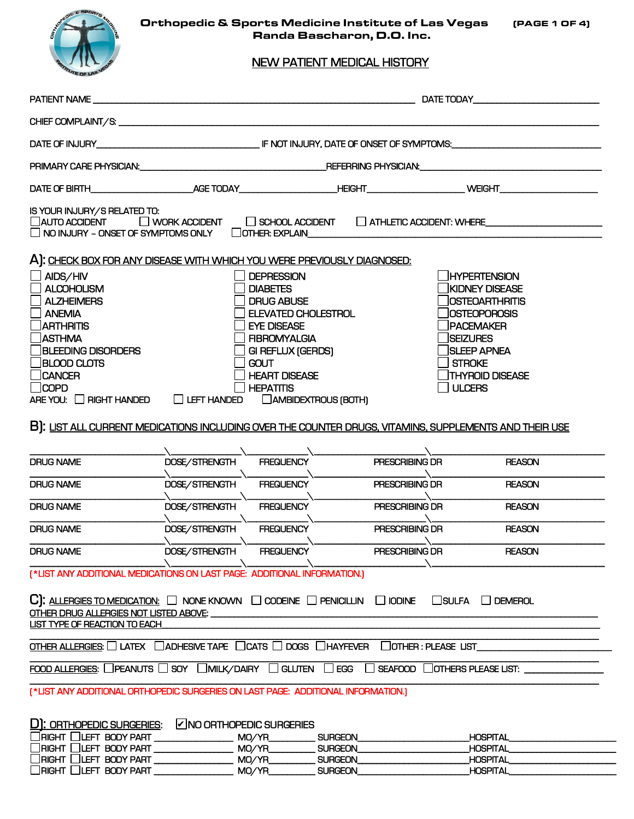

 Orthopedic & Sports Medicine Institute of Las Vegas (PAGE 1 OF 4) Randa Bascharon, D.O. Inc.

NEW PATIENT MEDICAL HISTORY

| IS YOUR INJURY/S RELATED TO:<br>$\Box$ AUTO ACCIDENT<br>$\Box$ NO INJURY - ONSET OF SYMPTOMS ONLY                                                                                                                                                                                                                                                                                                                                                                                                                                                        | $\Box$ WORK ACCIDENT    | SCHOOL ACCIDENT<br>OTHER: EXPLAIN                                                                                                                                                                                                           |                                                                                                        | ATHLETIC ACCIDENT: WHERE <b>The Contract of ATHLETIC ACCIDENT:</b> WHERE                                                                                                                                               |
|----------------------------------------------------------------------------------------------------------------------------------------------------------------------------------------------------------------------------------------------------------------------------------------------------------------------------------------------------------------------------------------------------------------------------------------------------------------------------------------------------------------------------------------------------------|-------------------------|---------------------------------------------------------------------------------------------------------------------------------------------------------------------------------------------------------------------------------------------|--------------------------------------------------------------------------------------------------------|------------------------------------------------------------------------------------------------------------------------------------------------------------------------------------------------------------------------|
| A): CHECK BOX FOR ANY DISEASE WITH WHICH YOU WERE PREVIOUSLY DIAGNOSED:                                                                                                                                                                                                                                                                                                                                                                                                                                                                                  |                         |                                                                                                                                                                                                                                             |                                                                                                        |                                                                                                                                                                                                                        |
| AIDS/HIV<br><b>ALCOHOLISM</b><br><b>ALZHEIMERS</b><br><b>ANEMIA</b><br><b>ARTHRITIS</b><br><b>ASTHMA</b><br><b>BLEEDING DISORDERS</b><br>BLOOD CLOTS<br><b>CANCER</b><br><b>COPD</b><br>ARE YOU: RIGHT HANDED                                                                                                                                                                                                                                                                                                                                            | $\square$ LEFT HANDED   | <b>DEPRESSION</b><br><b>DIABETES</b><br><b>DRUG ABUSE</b><br><b>ELEVATED CHOLESTROL</b><br><b>EYE DISEASE</b><br><b>FIBROMYALGIA</b><br>GI REFLUX (GERDS)<br><b>GOUT</b><br><b>HEART DISEASE</b><br><b>HEPATITIS</b><br>AMBIDEXTROUS (BOTH) | B): LIST ALL CURRENT MEDICATIONS INCLUDING OVER THE COUNTER DRUGS, VITAMINS, SUPPLEMENTS AND THEIR USE | <b>HYPERTENSION</b><br><b>KIDNEY DISEASE</b><br><b>OSTEOARTHRITIS</b><br><b>OSTEOPOROSIS</b><br><b>IPACEMAKER</b><br><b>SEIZURES</b><br><b>SLEEP APNEA</b><br><b>STROKE</b><br><b>THYROID DISEASE</b><br><b>ULCERS</b> |
| <b>DRUG NAME</b>                                                                                                                                                                                                                                                                                                                                                                                                                                                                                                                                         | DOSE/STRENGTH           | <b>FREQUENCY</b>                                                                                                                                                                                                                            | PRESCRIBING DR                                                                                         | <b>REASON</b>                                                                                                                                                                                                          |
| <b>DRUG NAME</b>                                                                                                                                                                                                                                                                                                                                                                                                                                                                                                                                         | DOSE/STRENGTH           | <b>FREQUENCY</b>                                                                                                                                                                                                                            | PRESCRIBING DR                                                                                         | <b>REASON</b>                                                                                                                                                                                                          |
| <b>DRUG NAME</b>                                                                                                                                                                                                                                                                                                                                                                                                                                                                                                                                         | DOSE/STRENGTH           | <b>FREQUENCY</b>                                                                                                                                                                                                                            | PRESCRIBING DR                                                                                         | <b>REASON</b>                                                                                                                                                                                                          |
| <b>DRUG NAME</b>                                                                                                                                                                                                                                                                                                                                                                                                                                                                                                                                         | DOSE/STRENGTH           | <b>FREQUENCY</b>                                                                                                                                                                                                                            | PRESCRIBING DR                                                                                         | <b>REASON</b>                                                                                                                                                                                                          |
| <b>DRUG NAME</b>                                                                                                                                                                                                                                                                                                                                                                                                                                                                                                                                         | DOSE/STRENGTH           | <b>FREQUENCY</b>                                                                                                                                                                                                                            | PRESCRIBING DR                                                                                         | <b>REASON</b>                                                                                                                                                                                                          |
| [*LIST ANY ADDITIONAL MEDICATIONS ON LAST PAGE: ADDITIONAL INFORMATION.]<br>$\mathbb{C}$ ): <u>Allergies to Medication:</u> $\Box$ none known $\Box$ codeine $\Box$ penicillin $\Box$ iodine<br>OTHER DRUG ALLERGIES NOT LISTED ABOVE:<br><b>LIST TYPE OF REACTION TO EACH</b><br>OTHER ALLERGIES: □ LATEX  □ ADHESIVE TAPE  □ CATS  □ DOGS  □ HAYFEVER<br>$\overline{\text{FOOD}}$ ALLERGIES: $\Box$ PEANUTS $\Box$ SOY $\Box$ MILK/DAIRY $\Box$ GLUTEN $\Box$ EGG<br>[*LIST ANY ADDITIONAL ORTHOPEDIC SURGERIES ON LAST PAGE: ADDITIONAL INFORMATION.] |                         |                                                                                                                                                                                                                                             | <b>SULFA</b><br>$\Box$ OTHER : PLEASE LIST<br>SEAFOOD □ OTHERS PLEASE LIST:<br>$\perp$                 | <b>DEMEROL</b><br>$\Box$                                                                                                                                                                                               |
| <b>ORTHOPEDIC SURGERIES:</b>                                                                                                                                                                                                                                                                                                                                                                                                                                                                                                                             | NO ORTHOPEDIC SURGERIES |                                                                                                                                                                                                                                             |                                                                                                        |                                                                                                                                                                                                                        |

RIGHT LEFT BODY PART \_\_\_\_\_\_\_\_\_\_\_\_\_\_\_\_\_ MO/YR\_\_\_\_\_\_\_\_\_\_ SURGEON\_\_\_\_\_\_\_\_\_\_\_\_\_\_\_\_\_\_\_\_\_\_\_\_HOSPITAL\_\_\_\_\_\_\_\_\_\_\_\_\_\_\_\_\_\_\_\_\_\_\_ RIGHT LEFT BODY PART \_\_\_\_\_\_\_\_\_\_\_\_\_\_\_\_\_ MO/YR\_\_\_\_\_\_\_\_\_\_ SURGEON\_\_\_\_\_\_\_\_\_\_\_\_\_\_\_\_\_\_\_\_\_\_\_\_HOSPITAL\_\_\_\_\_\_\_\_\_\_\_\_\_\_\_\_\_\_\_\_\_\_\_ RIGHT LEFT BODY PART \_\_\_\_\_\_\_\_\_\_\_\_\_\_\_\_\_ MO/YR\_\_\_\_\_\_\_\_\_\_ SURGEON\_\_\_\_\_\_\_\_\_\_\_\_\_\_\_\_\_\_\_\_\_\_\_\_HOSPITAL\_\_\_\_\_\_\_\_\_\_\_\_\_\_\_\_\_\_\_\_\_\_\_ □RIGHT □LEFT BODY PART \_\_\_\_\_\_\_\_\_\_\_\_\_\_\_\_\_\_\_\_\_\_\_MO/YR\_\_\_\_\_\_\_\_\_\_\_\_\_\_\_SURGEON\_\_\_\_\_\_\_\_\_\_\_\_\_\_\_\_\_\_\_\_\_\_\_\_\_\_\_HOSPITAL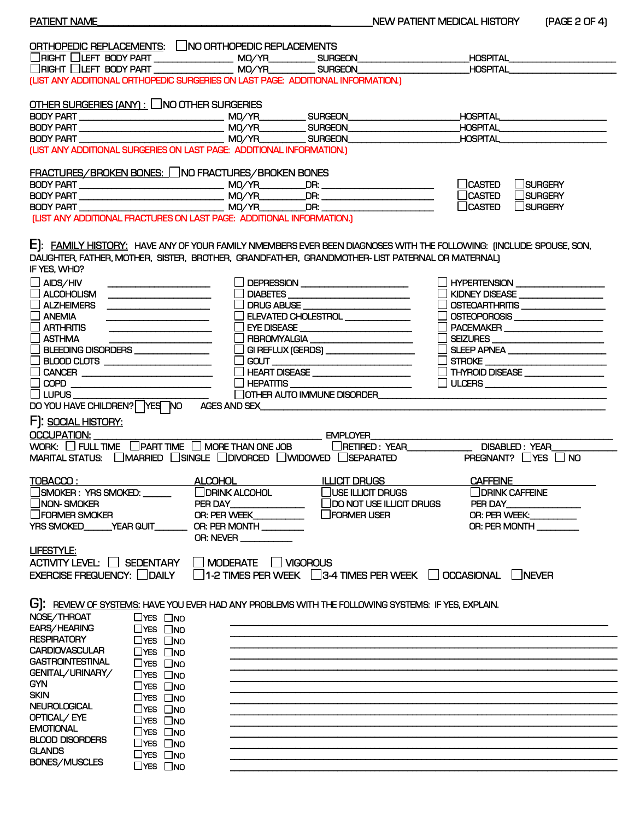| <b>PATIENT NAME</b>                                                                                                                                                                                                                                                                                                         |                      |                                   |                                                | NEW PATIENT MEDICAL HISTORY                                                                                                                                                                                            | (PAGE 2 OF 4)                      |
|-----------------------------------------------------------------------------------------------------------------------------------------------------------------------------------------------------------------------------------------------------------------------------------------------------------------------------|----------------------|-----------------------------------|------------------------------------------------|------------------------------------------------------------------------------------------------------------------------------------------------------------------------------------------------------------------------|------------------------------------|
| ORTHOPEDIC REPLACEMENTS: UNO ORTHOPEDIC REPLACEMENTS                                                                                                                                                                                                                                                                        |                      |                                   |                                                |                                                                                                                                                                                                                        |                                    |
|                                                                                                                                                                                                                                                                                                                             |                      |                                   |                                                | □RIGHT □LEFT BODY PART __________________ MO/YR____________SURGEON______________________HOSPITAL____________________                                                                                                   |                                    |
|                                                                                                                                                                                                                                                                                                                             |                      |                                   |                                                | □RIGHT □LEFT BODY PART __________________ MO/YR___________SURGEON_____________________                                                                                                                                 | HOSPITAL                           |
| (LIST ANY ADDITIONAL ORTHOPEDIC SURGERIES ON LAST PAGE: ADDITIONAL INFORMATION.)                                                                                                                                                                                                                                            |                      |                                   |                                                |                                                                                                                                                                                                                        |                                    |
| OTHER SURGERIES (ANY) : NO OTHER SURGERIES                                                                                                                                                                                                                                                                                  |                      |                                   |                                                |                                                                                                                                                                                                                        |                                    |
|                                                                                                                                                                                                                                                                                                                             |                      |                                   |                                                |                                                                                                                                                                                                                        |                                    |
|                                                                                                                                                                                                                                                                                                                             |                      |                                   |                                                |                                                                                                                                                                                                                        |                                    |
|                                                                                                                                                                                                                                                                                                                             |                      |                                   |                                                |                                                                                                                                                                                                                        |                                    |
| (LIST ANY ADDITIONAL SURGERIES ON LAST PAGE: ADDITIONAL INFORMATION.)                                                                                                                                                                                                                                                       |                      |                                   |                                                |                                                                                                                                                                                                                        |                                    |
|                                                                                                                                                                                                                                                                                                                             |                      |                                   |                                                |                                                                                                                                                                                                                        |                                    |
| <b>FRACTURES/BROKEN BONES: UNO FRACTURES/BROKEN BONES</b>                                                                                                                                                                                                                                                                   |                      |                                   |                                                |                                                                                                                                                                                                                        |                                    |
|                                                                                                                                                                                                                                                                                                                             |                      |                                   |                                                | <b>CASTED</b>                                                                                                                                                                                                          | <b>SURGERY</b>                     |
|                                                                                                                                                                                                                                                                                                                             |                      |                                   |                                                |                                                                                                                                                                                                                        | □CASTED □SURGERY                   |
| (LIST ANY ADDITIONAL FRACTURES ON LAST PAGE: ADDITIONAL INFORMATION.)                                                                                                                                                                                                                                                       |                      |                                   |                                                | <b>CASTED</b>                                                                                                                                                                                                          | <b>SURGERY</b>                     |
|                                                                                                                                                                                                                                                                                                                             |                      |                                   |                                                |                                                                                                                                                                                                                        |                                    |
| IF YES, WHO?                                                                                                                                                                                                                                                                                                                |                      |                                   |                                                | E): FAMILY HISTORY: HAVE ANY OF YOUR FAMILY NMEMBERS EVER BEEN DIAGNOSES WITH THE FOLLOWING: (INCLUDE: SPOUSE, SON,<br>DAUGHTER, FATHER, MOTHER, SISTER, BROTHER, GRANDFATHER, GRANDMOTHER- LIST PATERNAL OR MATERNAL) |                                    |
| $\Box$ AIDS/HIV<br>$\overline{\Box}$ ALCOHOLISM                                                                                                                                                                                                                                                                             |                      |                                   | DEPRESSION ________________________            |                                                                                                                                                                                                                        | NYPERTENSION ____________________  |
|                                                                                                                                                                                                                                                                                                                             |                      |                                   |                                                |                                                                                                                                                                                                                        | KIDNEY DISEASE ___________________ |
| □ ALZHEIMERS _____________________                                                                                                                                                                                                                                                                                          |                      |                                   | □ DRUG ABUSE ________________________          |                                                                                                                                                                                                                        | □ OSTEOARTHRITIS _________________ |
| $\Box$ ANEMIA                                                                                                                                                                                                                                                                                                               |                      |                                   | ELEVATED CHOLESTROL _____________              |                                                                                                                                                                                                                        |                                    |
| $\Box$ ARTHRITIS                                                                                                                                                                                                                                                                                                            |                      |                                   | $\Box$ EYE DISEASE __________________________  |                                                                                                                                                                                                                        | <b>D</b> PACEMAKER                 |
| $\Box$ ASTHMA<br>└── ASTHMA<br>└── BLEEDING DISORDERS _________________                                                                                                                                                                                                                                                     |                      |                                   | □ FIBROMYALGIA _____________________________   |                                                                                                                                                                                                                        | SLEEP APNEA                        |
|                                                                                                                                                                                                                                                                                                                             |                      |                                   |                                                |                                                                                                                                                                                                                        | $\Box$ STROKE $\_\_$               |
| $\Box$ BLOOD CLOTS ________________________                                                                                                                                                                                                                                                                                 |                      |                                   |                                                |                                                                                                                                                                                                                        |                                    |
| □ CANCER <u>_________________________</u>                                                                                                                                                                                                                                                                                   |                      |                                   | □ HEART DISEASE <u>_______________________</u> |                                                                                                                                                                                                                        | THYROID DISEASE ________________   |
| $\begin{tabular}{ c c } \hline \quad \quad & \quad \quad & \quad \quad & \quad \quad & \quad \quad \\ \hline \quad \quad & \quad \quad & \quad \quad & \quad \quad \\ \hline \quad \quad & \quad \quad & \quad \quad & \quad \quad \\ \hline \quad \quad & \quad \quad & \quad \quad & \quad \quad \\ \hline \end{tabular}$ |                      |                                   |                                                |                                                                                                                                                                                                                        |                                    |
| DO YOU HAVE CHILDREN? TYES TIO                                                                                                                                                                                                                                                                                              |                      | AGES AND SEX                      |                                                |                                                                                                                                                                                                                        |                                    |
|                                                                                                                                                                                                                                                                                                                             |                      |                                   |                                                |                                                                                                                                                                                                                        |                                    |
| F): <u>SOCIAL HISTORY:</u>                                                                                                                                                                                                                                                                                                  |                      |                                   |                                                |                                                                                                                                                                                                                        |                                    |
| OCCUPATION:                                                                                                                                                                                                                                                                                                                 |                      |                                   |                                                |                                                                                                                                                                                                                        |                                    |
|                                                                                                                                                                                                                                                                                                                             |                      |                                   |                                                | $\text{WORK: } \Box \text{ FULL TIME } \Box \text{ PART TIME } \Box \text{ MORE} \text{ THAN ONE JOB } \Box \text{RETIRED: YEAR } \underline{\phantom{A}} \text{DEAD} \text{ DISABLED: YEAR } \underline{\phantom{A}}$ |                                    |
|                                                                                                                                                                                                                                                                                                                             |                      |                                   |                                                | MARITAL STATUS: DIARRIED DISINGLE DDIVORCED DWIDOWED DSEPARATED PREGNANT? DYES D NO                                                                                                                                    |                                    |
| TOBACCO:                                                                                                                                                                                                                                                                                                                    |                      | <b>ALCOHOL</b>                    |                                                | <b>ILLICIT DRUGS</b><br>CAFFEINE                                                                                                                                                                                       |                                    |
| SMOKER: YRS SMOKED:                                                                                                                                                                                                                                                                                                         |                      | <b>DRINK ALCOHOL</b>              | USE ILLICIT DRUGS                              |                                                                                                                                                                                                                        | <b>SOBINK CAFFEINE</b>             |
| NON-SMOKER                                                                                                                                                                                                                                                                                                                  |                      | <b>PER DAY___________________</b> |                                                | $\Box$ DO NOT USE ILLICIT DRUGS                                                                                                                                                                                        |                                    |
| <b>LIFORMER SMOKER</b>                                                                                                                                                                                                                                                                                                      |                      |                                   |                                                |                                                                                                                                                                                                                        | OR: PER WEEK:__________            |
| YRS SMOKED______YEAR QUIT__________OR: PER MONTH __________                                                                                                                                                                                                                                                                 |                      |                                   |                                                |                                                                                                                                                                                                                        | OR: PER MONTH _________            |
|                                                                                                                                                                                                                                                                                                                             |                      | OR: NEVER ____________            |                                                |                                                                                                                                                                                                                        |                                    |
| <b>LIFESTYLE:</b>                                                                                                                                                                                                                                                                                                           |                      |                                   |                                                |                                                                                                                                                                                                                        |                                    |
| ACTIVITY LEVEL: SEDENTARY MODERATE U VIGOROUS                                                                                                                                                                                                                                                                               |                      |                                   |                                                | EXERCISE FREQUENCY: □DAILY □1-2 TIMES PER WEEK □3-4 TIMES PER WEEK □ OCCASIONAL □NEVER                                                                                                                                 |                                    |
|                                                                                                                                                                                                                                                                                                                             |                      |                                   |                                                | G): REVIEW OF SYSTEMS: HAVE YOU EVER HAD ANY PROBLEMS WITH THE FOLLOWING SYSTEMS: IF YES, EXPLAIN.                                                                                                                     |                                    |
| NOSE/THROAT                                                                                                                                                                                                                                                                                                                 | $\Box$ YES $\Box$ NO |                                   |                                                |                                                                                                                                                                                                                        |                                    |
| EARS/HEARING                                                                                                                                                                                                                                                                                                                | $\Box$ YES $\Box$ NO |                                   |                                                |                                                                                                                                                                                                                        |                                    |
| <b>RESPIRATORY</b>                                                                                                                                                                                                                                                                                                          | $\Box$ YES $\Box$ NO |                                   |                                                |                                                                                                                                                                                                                        |                                    |
| <b>CARDIOVASCULAR</b>                                                                                                                                                                                                                                                                                                       | $\Box$ YES $\Box$ NO |                                   |                                                |                                                                                                                                                                                                                        |                                    |
| <b>GASTROINTESTINAL</b>                                                                                                                                                                                                                                                                                                     | $\Box$ YES $\Box$ NO |                                   |                                                |                                                                                                                                                                                                                        |                                    |
| GENITAL/URINARY/                                                                                                                                                                                                                                                                                                            | $\Box$ YES $\Box$ NO |                                   |                                                |                                                                                                                                                                                                                        |                                    |
| <b>GYN</b>                                                                                                                                                                                                                                                                                                                  | $\Box$ YES $\Box$ NO |                                   |                                                |                                                                                                                                                                                                                        |                                    |
| <b>SKIN</b>                                                                                                                                                                                                                                                                                                                 | $\Box$ YES $\Box$ NO |                                   |                                                |                                                                                                                                                                                                                        |                                    |
| NEUROLOGICAL                                                                                                                                                                                                                                                                                                                | $\Box$ YES $\Box$ NO |                                   |                                                |                                                                                                                                                                                                                        |                                    |
| OPTICAL/EYE                                                                                                                                                                                                                                                                                                                 | $\Box$ YES $\Box$ NO |                                   |                                                |                                                                                                                                                                                                                        |                                    |
| <b>EMOTIONAL</b>                                                                                                                                                                                                                                                                                                            | $\Box$ YES $\Box$ NO |                                   |                                                |                                                                                                                                                                                                                        |                                    |
| <b>BLOOD DISORDERS</b>                                                                                                                                                                                                                                                                                                      | $\Box$ YES $\Box$ NO |                                   |                                                |                                                                                                                                                                                                                        |                                    |
| <b>GLANDS</b>                                                                                                                                                                                                                                                                                                               | $\Box$ YES $\Box$ NO |                                   |                                                |                                                                                                                                                                                                                        |                                    |
| BONES/MUSCLES                                                                                                                                                                                                                                                                                                               | $\Box$ YES $\Box$ NO |                                   |                                                |                                                                                                                                                                                                                        |                                    |
|                                                                                                                                                                                                                                                                                                                             |                      |                                   |                                                |                                                                                                                                                                                                                        |                                    |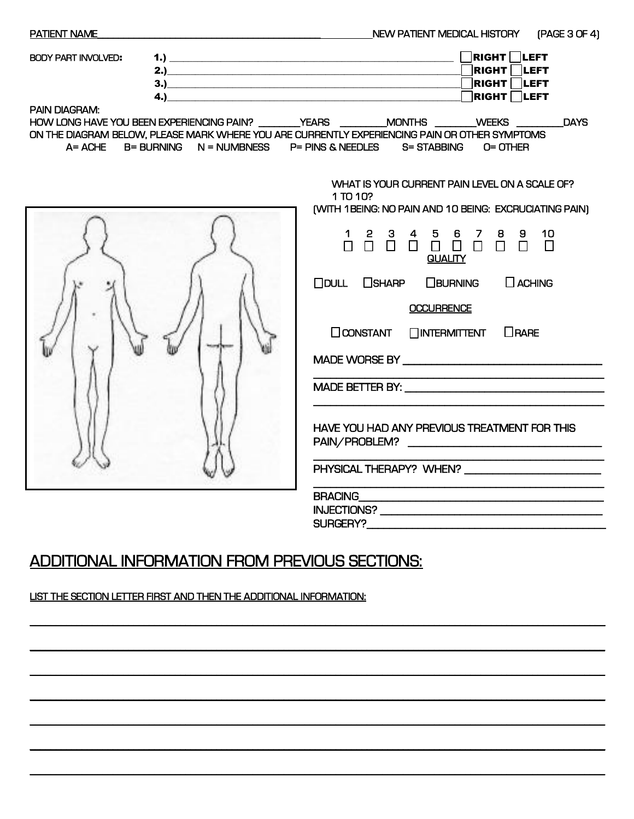| PATIENT NAME |  |
|--------------|--|
|--------------|--|

**BODY PART INVOLVED:** 

|     | LEFT<br>RIGHT                                                |
|-----|--------------------------------------------------------------|
| ゥ   | $\overline{\phantom{a}}$ RIGHT $\overline{\phantom{a}}$ LEFT |
| 3.  | $\overline{\phantom{a}}$ RIGHT $\overline{\phantom{a}}$ LEFT |
| 4.) | RIGHT <br><b>LEFT</b>                                        |

### **PAIN DIAGRAM:**

HOW LONG HAVE YOU BEEN EXPERIENCING PAIN? \_\_\_\_\_\_\_\_\_\_\_ YEARS **MONTHS WEEKS DAYS** ON THE DIAGRAM BELOW, PLEASE MARK WHERE YOU ARE CURRENTLY EXPERIENCING PAIN OR OTHER SYMPTOMS A = ACHE B = BURNING N = NUMBNESS P = PINS & NEEDLES **S= STABBING** O= OTHER



| WHAT IS YOUR CURRENT PAIN LEVEL ON A SCALE OF?<br>1 TO 10?<br>(WITH 1 BEING: NO PAIN AND 10 BEING: EXCRUCIATING PAIN) |  |  |  |  |
|-----------------------------------------------------------------------------------------------------------------------|--|--|--|--|
| 1 2 3 4 5 6 7 8 9 10<br>0 0 0 0 0 0 0 0 0<br><b>QUALITY</b>                                                           |  |  |  |  |
| $\Box$ DULL $\Box$ SHARP $\Box$ BURNING $\Box$ ACHING                                                                 |  |  |  |  |
| <b>OCCURRENCE</b>                                                                                                     |  |  |  |  |
| OONSTANT TINTERMITTENT DRARE                                                                                          |  |  |  |  |
|                                                                                                                       |  |  |  |  |
|                                                                                                                       |  |  |  |  |
|                                                                                                                       |  |  |  |  |
| HAVE YOU HAD ANY PREVIOUS TREATMENT FOR THIS                                                                          |  |  |  |  |
| PHYSICAL THERAPY? WHEN? ____________________________                                                                  |  |  |  |  |
|                                                                                                                       |  |  |  |  |
|                                                                                                                       |  |  |  |  |

# ADDITIONAL INFORMATION FROM PREVIOUS SECTIONS:

LIST THE SECTION LETTER FIRST AND THEN THE ADDITIONAL INFORMATION: